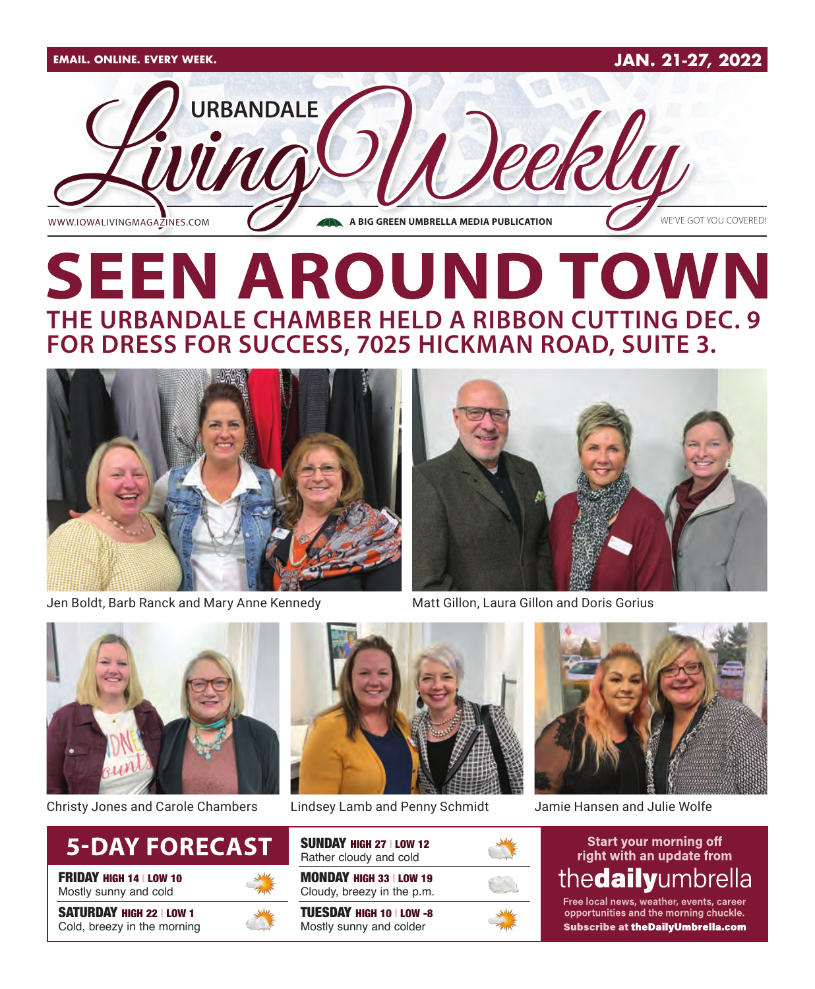

# **SEEN AROUND TOWN THE URBANDALE CHAMBER HELD A RIBBON CUTTING DEC. 9 FOR DRESS FOR SUCCESS, 7025 HICKMAN ROAD, SUITE 3.**



Jen Boldt, Barb Ranck and Mary Anne Kennedy Matt Gillon, Laura Gillon and Doris Gorius





Christy Jones and Carole Chambers Lindsey Lamb and Penny Schmidt Jamie Hansen and Julie Wolfe



FRIDAY HIGH 14 | LOW 10 Mostly sunny and cold

SATURDAY HIGH 22 | LOW 1 Cold, breezy in the morning





SUNDAY HIGH 27 | LOW 12 Rather cloudy and cold

MONDAY HIGH 33 | LOW 19 Cloudy, breezy in the p.m.

TUESDAY HIGH 10 | LOW -8 Mostly sunny and colder



#### **Start your morning off** right with an update from thedailyumbrella

Free local news, weather, events, career opportunities and the morning chuckle. **Subscribe at theDailyUmbrella.com**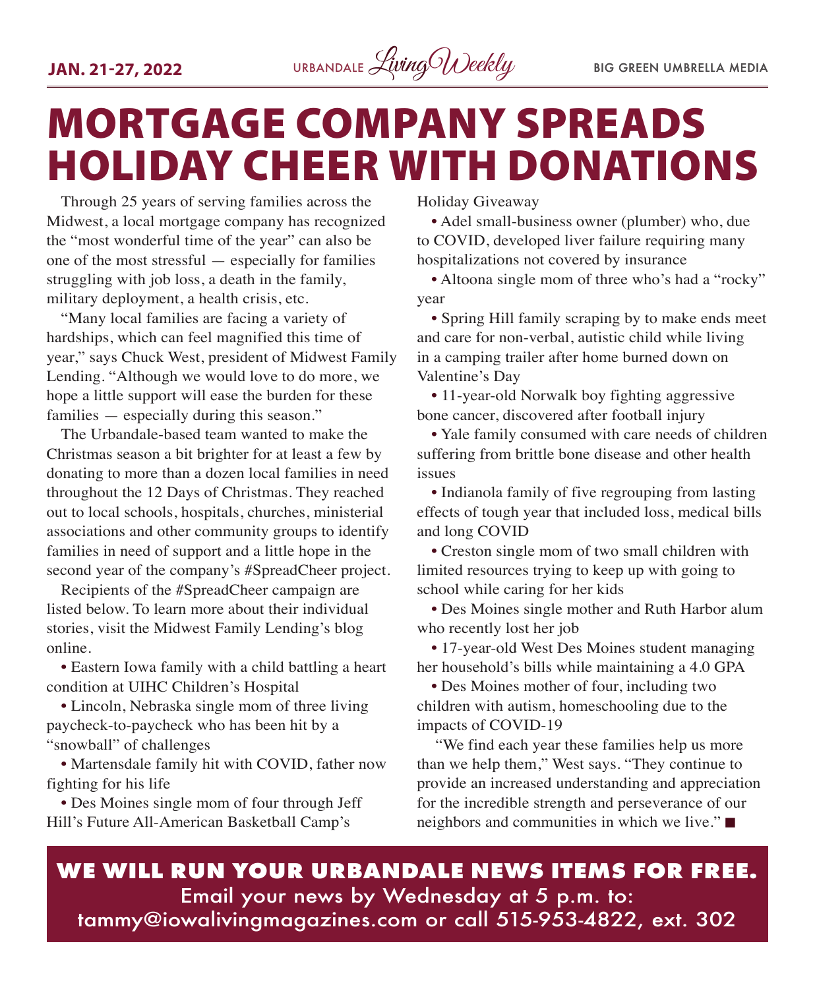

# MORTGAGE COMPANY SPREADS HOLIDAY CHEER WITH DONATIONS

Through 25 years of serving families across the Midwest, a local mortgage company has recognized the "most wonderful time of the year" can also be one of the most stressful — especially for families struggling with job loss, a death in the family, military deployment, a health crisis, etc.

"Many local families are facing a variety of hardships, which can feel magnified this time of year," says Chuck West, president of Midwest Family Lending. "Although we would love to do more, we hope a little support will ease the burden for these families — especially during this season."

The Urbandale-based team wanted to make the Christmas season a bit brighter for at least a few by donating to more than a dozen local families in need throughout the 12 Days of Christmas. They reached out to local schools, hospitals, churches, ministerial associations and other community groups to identify families in need of support and a little hope in the second year of the company's #SpreadCheer project.

Recipients of the #SpreadCheer campaign are listed below. To learn more about their individual stories, visit the Midwest Family Lending's blog online.

• Eastern Iowa family with a child battling a heart condition at UIHC Children's Hospital

• Lincoln, Nebraska single mom of three living paycheck-to-paycheck who has been hit by a "snowball" of challenges

• Martensdale family hit with COVID, father now fighting for his life

• Des Moines single mom of four through Jeff Hill's Future All-American Basketball Camp's

Holiday Giveaway

• Adel small-business owner (plumber) who, due to COVID, developed liver failure requiring many hospitalizations not covered by insurance

• Altoona single mom of three who's had a "rocky" year

• Spring Hill family scraping by to make ends meet and care for non-verbal, autistic child while living in a camping trailer after home burned down on Valentine's Day

• 11-year-old Norwalk boy fighting aggressive bone cancer, discovered after football injury

• Yale family consumed with care needs of children suffering from brittle bone disease and other health issues

• Indianola family of five regrouping from lasting effects of tough year that included loss, medical bills and long COVID

• Creston single mom of two small children with limited resources trying to keep up with going to school while caring for her kids

• Des Moines single mother and Ruth Harbor alum who recently lost her job

• 17-year-old West Des Moines student managing her household's bills while maintaining a 4.0 GPA

• Des Moines mother of four, including two children with autism, homeschooling due to the impacts of COVID-19

"We find each year these families help us more than we help them," West says. "They continue to provide an increased understanding and appreciation for the incredible strength and perseverance of our neighbors and communities in which we live." $\blacksquare$ 

**WE WILL RUN YOUR URBANDALE NEWS ITEMS FOR FREE.** Email your news by Wednesday at 5 p.m. to: tammy@iowalivingmagazines.com or call 515-953-4822, ext. 302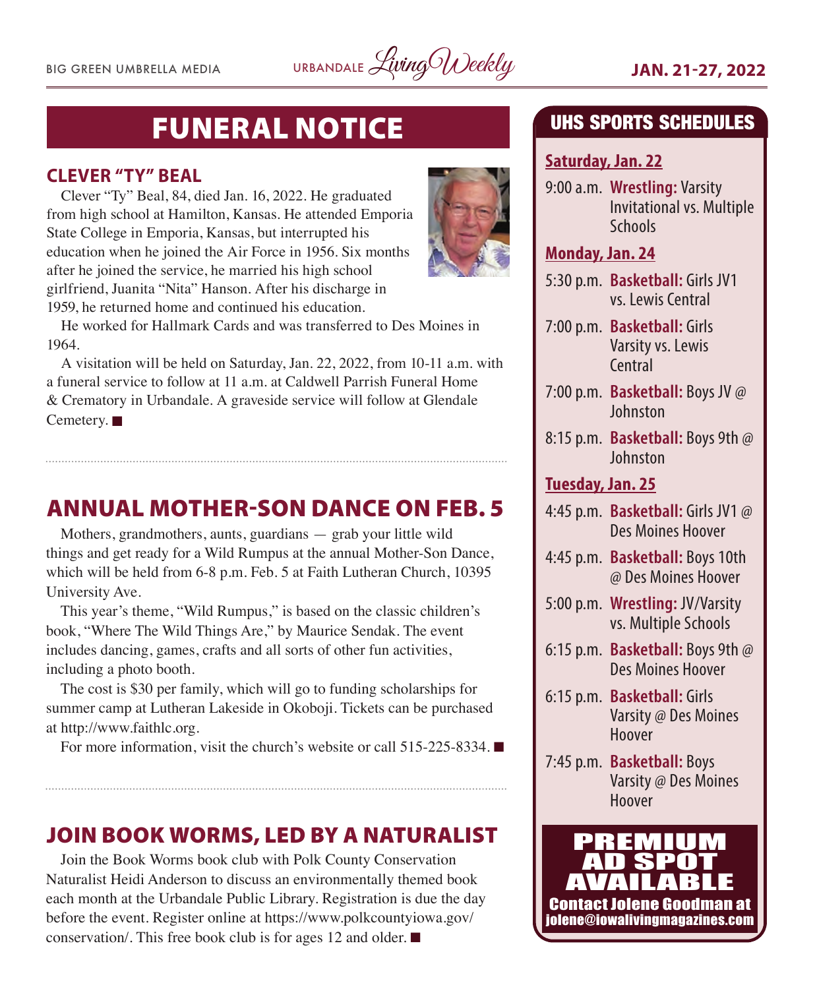BIG GREEN UMBRELLA MEDIA URBANDALE *Living Weekly* **JAN. 21-27, 2022** 

# FUNERAL NOTICE

#### **CLEVER "TY" BEAL**

Clever "Ty" Beal, 84, died Jan. 16, 2022. He graduated from high school at Hamilton, Kansas. He attended Emporia State College in Emporia, Kansas, but interrupted his education when he joined the Air Force in 1956. Six months after he joined the service, he married his high school girlfriend, Juanita "Nita" Hanson. After his discharge in 1959, he returned home and continued his education.

He worked for Hallmark Cards and was transferred to Des Moines in 1964.

A visitation will be held on Saturday, Jan. 22, 2022, from 10-11 a.m. with a funeral service to follow at 11 a.m. at Caldwell Parrish Funeral Home & Crematory in Urbandale. A graveside service will follow at Glendale Cemetery.  $\blacksquare$ 

## ANNUAL MOTHER-SON DANCE ON FEB. 5

Mothers, grandmothers, aunts, guardians — grab your little wild things and get ready for a Wild Rumpus at the annual Mother-Son Dance, which will be held from 6-8 p.m. Feb. 5 at Faith Lutheran Church, 10395 University Ave.

This year's theme, "Wild Rumpus," is based on the classic children's book, "Where The Wild Things Are," by Maurice Sendak. The event includes dancing, games, crafts and all sorts of other fun activities, including a photo booth.

The cost is \$30 per family, which will go to funding scholarships for summer camp at Lutheran Lakeside in Okoboji. Tickets can be purchased at http://www.faithlc.org.

For more information, visit the church's website or call  $515-225-8334$ .

## JOIN BOOK WORMS, LED BY A NATURALIST

Join the Book Worms book club with Polk County Conservation Naturalist Heidi Anderson to discuss an environmentally themed book each month at the Urbandale Public Library. Registration is due the day before the event. Register online at https://www.polkcountyiowa.gov/ conservation/. This free book club is for ages 12 and older.  $\blacksquare$ 

## UHS SPORTS SCHEDULES

#### **Saturday, Jan. 22**

9:00 a.m. **Wrestling:** Varsity Invitational vs. Multiple **Schools** 

#### **Monday, Jan. 24**

- 5:30 p.m. **Basketball:** Girls JV1 vs. Lewis Central
- 7:00 p.m. **Basketball:** Girls Varsity vs. Lewis Central
- 7:00 p.m. **Basketball:** Boys JV @ Johnston
- 8:15 p.m. **Basketball:** Boys 9th @ Johnston

#### **Tuesday, Jan. 25**

- 4:45 p.m. **Basketball:** Girls JV1 @ Des Moines Hoover
- 4:45 p.m. **Basketball:** Boys 10th @ Des Moines Hoover
- 5:00 p.m. **Wrestling:** JV/Varsity vs. Multiple Schools
- 6:15 p.m. **Basketball:** Boys 9th @ Des Moines Hoover
- 6:15 p.m. **Basketball:** Girls Varsity @ Des Moines Hoover
- 7:45 p.m. **Basketball:** Boys Varsity @ Des Moines Hoover

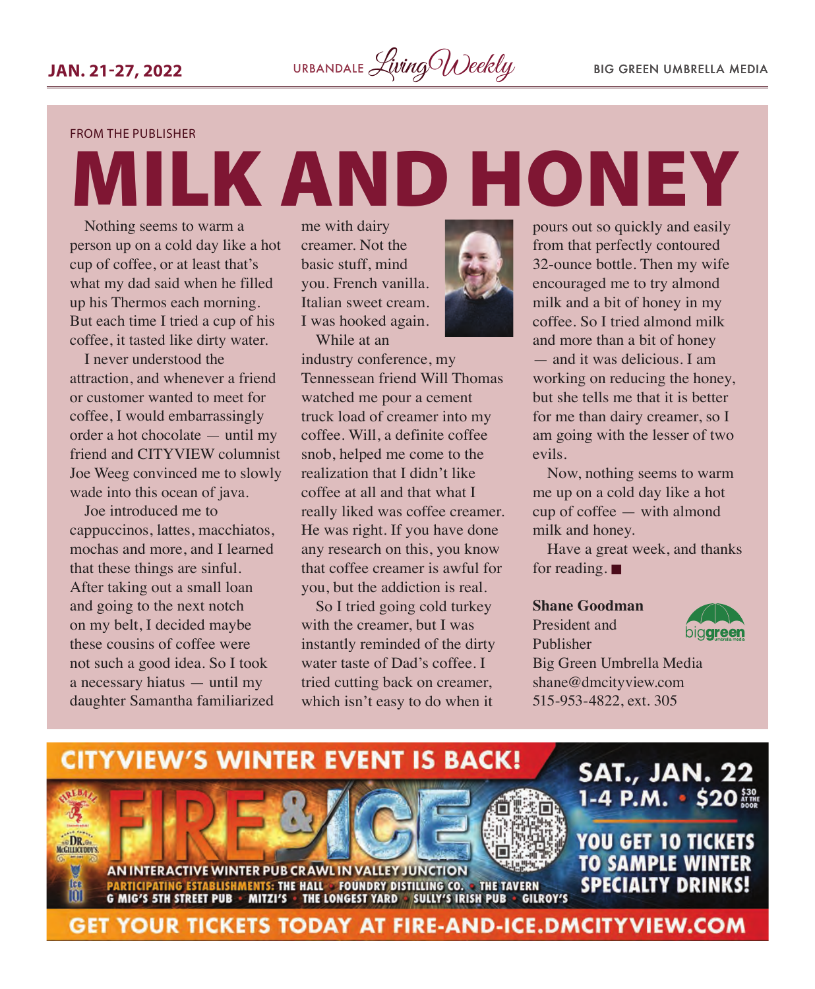FROM THE PUBLISHER

# MILK AND HONEY

Nothing seems to warm a person up on a cold day like a hot cup of coffee, or at least that's what my dad said when he filled up his Thermos each morning. But each time I tried a cup of his coffee, it tasted like dirty water.

I never understood the attraction, and whenever a friend or customer wanted to meet for coffee, I would embarrassingly order a hot chocolate — until my friend and CITYVIEW columnist Joe Weeg convinced me to slowly wade into this ocean of java.

Joe introduced me to cappuccinos, lattes, macchiatos, mochas and more, and I learned that these things are sinful. After taking out a small loan and going to the next notch on my belt, I decided maybe these cousins of coffee were not such a good idea. So I took a necessary hiatus — until my daughter Samantha familiarized

me with dairy creamer. Not the basic stuff, mind you. French vanilla. Italian sweet cream. I was hooked again.

While at an



industry conference, my Tennessean friend Will Thomas watched me pour a cement truck load of creamer into my coffee. Will, a definite coffee snob, helped me come to the realization that I didn't like coffee at all and that what I really liked was coffee creamer. He was right. If you have done any research on this, you know that coffee creamer is awful for you, but the addiction is real.

So I tried going cold turkey with the creamer, but I was instantly reminded of the dirty water taste of Dad's coffee. I tried cutting back on creamer, which isn't easy to do when it

pours out so quickly and easily from that perfectly contoured 32-ounce bottle. Then my wife encouraged me to try almond milk and a bit of honey in my coffee. So I tried almond milk and more than a bit of honey — and it was delicious. I am working on reducing the honey, but she tells me that it is better for me than dairy creamer, so I am going with the lesser of two evils.

Now, nothing seems to warm me up on a cold day like a hot cup of coffee — with almond milk and honey.

Have a great week, and thanks for reading.  $\blacksquare$ 

#### **Shane Goodman**

President and Publisher



Big Green Umbrella Media shane@dmcityview.com 515-953-4822, ext. 305

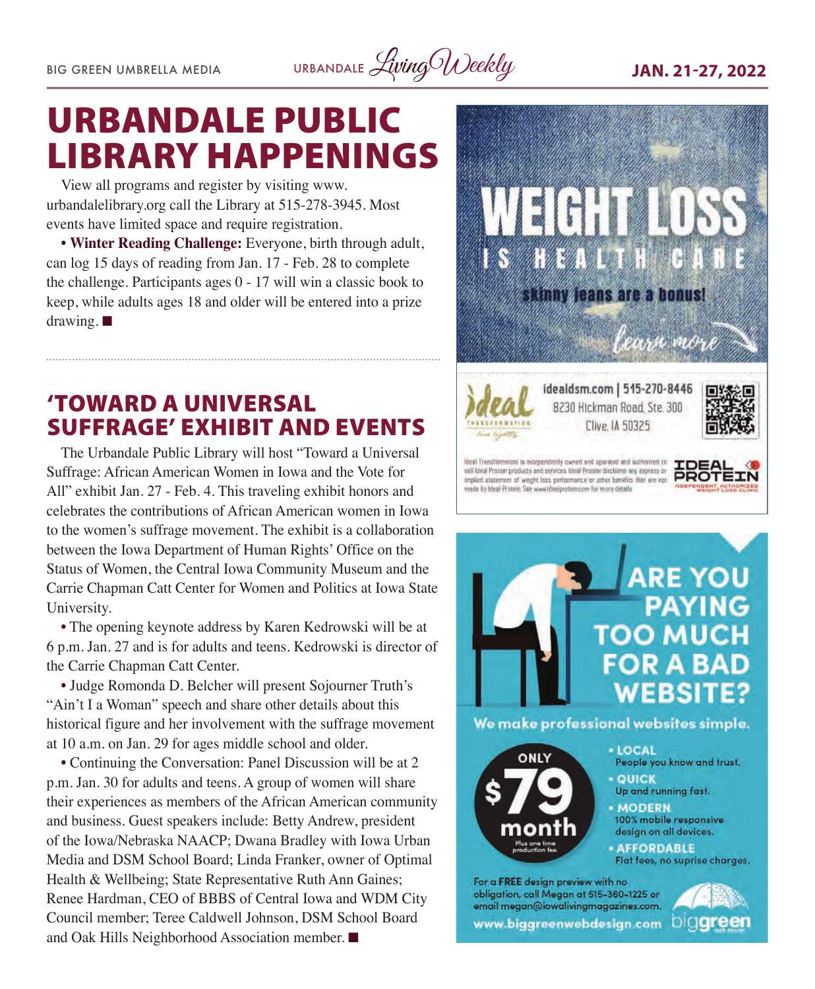BIG GREEN UMBRELLA MEDIA URBANDALE *Living Weekly* **JAN. 21-27, 2022** 

# URBANDALE PUBLIC LIBRARY HAPPENINGS

View all programs and register by visiting www. urbandalelibrary.org call the Library at 515-278-3945. Most events have limited space and require registration.

• **Winter Reading Challenge:** Everyone, birth through adult, can log 15 days of reading from Jan. 17 - Feb. 28 to complete the challenge. Participants ages 0 - 17 will win a classic book to keep, while adults ages 18 and older will be entered into a prize drawing.  $\blacksquare$ 

## 'TOWARD A UNIVERSAL SUFFRAGE' EXHIBIT AND EVENTS

The Urbandale Public Library will host "Toward a Universal Suffrage: African American Women in Iowa and the Vote for All" exhibit Jan. 27 - Feb. 4. This traveling exhibit honors and celebrates the contributions of African American women in Iowa to the women's suffrage movement. The exhibit is a collaboration between the Iowa Department of Human Rights' Office on the Status of Women, the Central Iowa Community Museum and the Carrie Chapman Catt Center for Women and Politics at Iowa State University.

• The opening keynote address by Karen Kedrowski will be at 6 p.m. Jan. 27 and is for adults and teens. Kedrowski is director of the Carrie Chapman Catt Center.

• Judge Romonda D. Belcher will present Sojourner Truth's "Ain't I a Woman" speech and share other details about this historical figure and her involvement with the suffrage movement at 10 a.m. on Jan. 29 for ages middle school and older.

• Continuing the Conversation: Panel Discussion will be at 2 p.m. Jan. 30 for adults and teens. A group of women will share their experiences as members of the African American community and business. Guest speakers include: Betty Andrew, president of the Iowa/Nebraska NAACP; Dwana Bradley with Iowa Urban Media and DSM School Board; Linda Franker, owner of Optimal Health & Wellbeing; State Representative Ruth Ann Gaines; Renee Hardman, CEO of BBBS of Central Iowa and WDM City Council member; Teree Caldwell Johnson, DSM School Board and Oak Hills Neighborhood Association member.  $\blacksquare$ 





We make professional websites simple.



- $-$  LOCAL People you know and trust. - QUICK
- Up and running fast.
- MODERN 100% mobile responsive design on all devices.
- **AFFORDABLE** Flat fees, no suprise charges.

For a FREE design preview with no obligation, call Megan at 515-360-1225 or email megan@iowalivingmagazines.com www.biggreenwebdesign.com

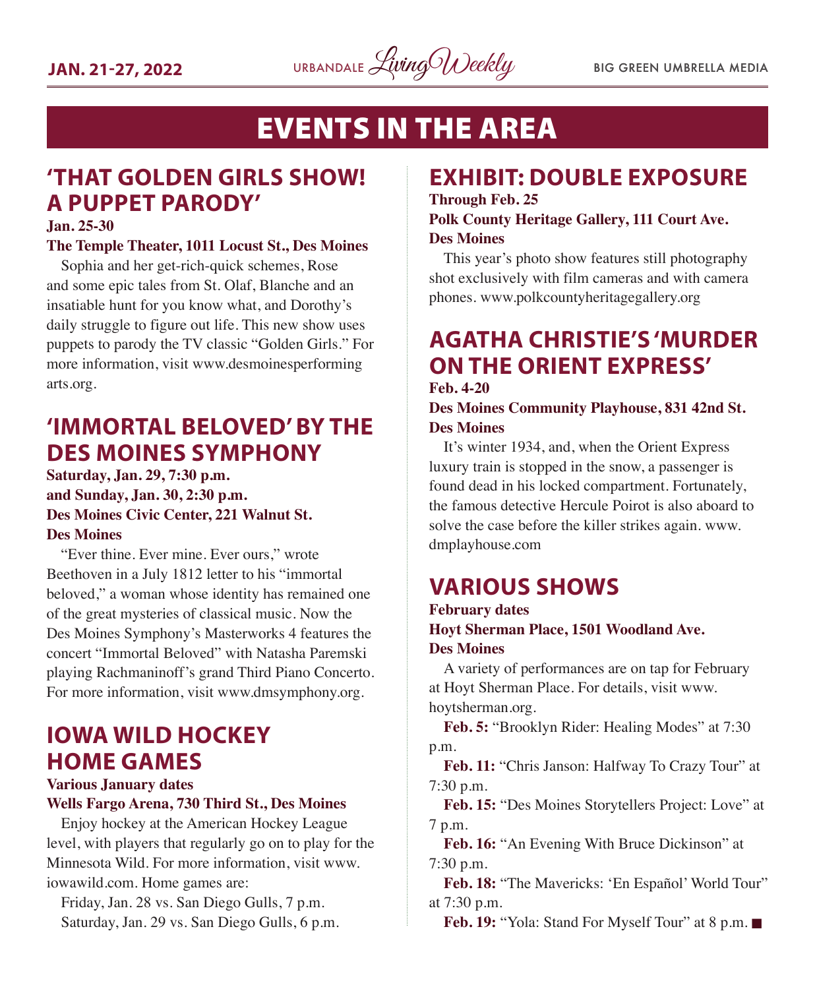

# EVENTS IN THE AREA

# **'THAT GOLDEN GIRLS SHOW! A PUPPET PARODY'**

#### **Jan. 25-30**

#### **The Temple Theater, 1011 Locust St., Des Moines**

Sophia and her get-rich-quick schemes, Rose and some epic tales from St. Olaf, Blanche and an insatiable hunt for you know what, and Dorothy's daily struggle to figure out life. This new show uses puppets to parody the TV classic "Golden Girls." For more information, visit www.desmoinesperforming arts.org.

## **'IMMORTAL BELOVED' BY THE DES MOINES SYMPHONY**

#### **Saturday, Jan. 29, 7:30 p.m. and Sunday, Jan. 30, 2:30 p.m. Des Moines Civic Center, 221 Walnut St. Des Moines**

"Ever thine. Ever mine. Ever ours," wrote Beethoven in a July 1812 letter to his "immortal beloved," a woman whose identity has remained one of the great mysteries of classical music. Now the Des Moines Symphony's Masterworks 4 features the concert "Immortal Beloved" with Natasha Paremski playing Rachmaninoff's grand Third Piano Concerto. For more information, visit www.dmsymphony.org.

# **IOWA WILD HOCKEY HOME GAMES**

**Various January dates Wells Fargo Arena, 730 Third St., Des Moines**

Enjoy hockey at the American Hockey League level, with players that regularly go on to play for the Minnesota Wild. For more information, visit www. iowawild.com. Home games are:

Friday, Jan. 28 vs. San Diego Gulls, 7 p.m. Saturday, Jan. 29 vs. San Diego Gulls, 6 p.m.

## **EXHIBIT: DOUBLE EXPOSURE**

#### **Through Feb. 25 Polk County Heritage Gallery, 111 Court Ave. Des Moines**

This year's photo show features still photography shot exclusively with film cameras and with camera phones. www.polkcountyheritagegallery.org

### **AGATHA CHRISTIE'S 'MURDER ON THE ORIENT EXPRESS' Feb. 4-20**

#### **Des Moines Community Playhouse, 831 42nd St. Des Moines**

It's winter 1934, and, when the Orient Express luxury train is stopped in the snow, a passenger is found dead in his locked compartment. Fortunately, the famous detective Hercule Poirot is also aboard to solve the case before the killer strikes again. www. dmplayhouse.com

# **VARIOUS SHOWS**

#### **February dates Hoyt Sherman Place, 1501 Woodland Ave. Des Moines**

A variety of performances are on tap for February at Hoyt Sherman Place. For details, visit www. hoytsherman.org.

Feb. 5: "Brooklyn Rider: Healing Modes" at 7:30 p.m.

**Feb. 11:** "Chris Janson: Halfway To Crazy Tour" at 7:30 p.m.

**Feb. 15:** "Des Moines Storytellers Project: Love" at 7 p.m.

**Feb. 16:** "An Evening With Bruce Dickinson" at 7:30 p.m.

**Feb. 18:** "The Mavericks: 'En Español' World Tour" at 7:30 p.m.

**Feb. 19: "Yola: Stand For Myself Tour" at 8 p.m. ■**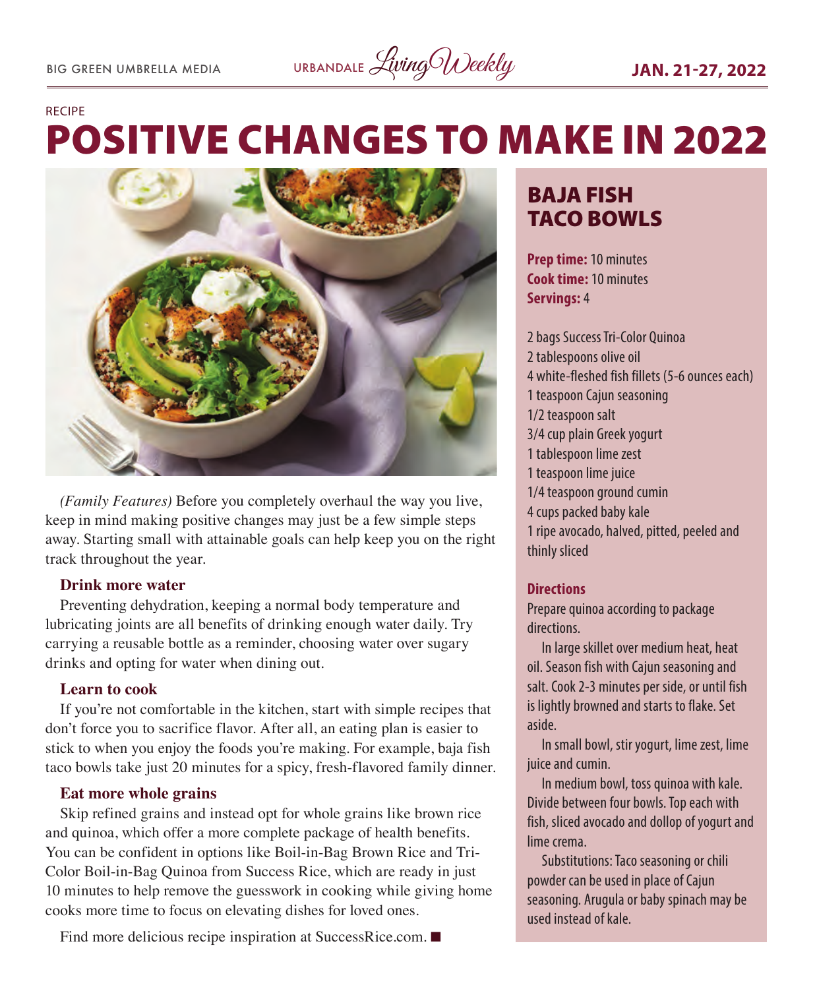# POSITIVE CHANGES TO MAKE IN 2022 RECIPE



*(Family Features)* Before you completely overhaul the way you live, keep in mind making positive changes may just be a few simple steps away. Starting small with attainable goals can help keep you on the right track throughout the year.

#### **Drink more water**

Preventing dehydration, keeping a normal body temperature and lubricating joints are all benefits of drinking enough water daily. Try carrying a reusable bottle as a reminder, choosing water over sugary drinks and opting for water when dining out.

#### **Learn to cook**

If you're not comfortable in the kitchen, start with simple recipes that don't force you to sacrifice flavor. After all, an eating plan is easier to stick to when you enjoy the foods you're making. For example, baja fish taco bowls take just 20 minutes for a spicy, fresh-flavored family dinner.

#### **Eat more whole grains**

Skip refined grains and instead opt for whole grains like brown rice and quinoa, which offer a more complete package of health benefits. You can be confident in options like Boil-in-Bag Brown Rice and Tri-Color Boil-in-Bag Quinoa from Success Rice, which are ready in just 10 minutes to help remove the guesswork in cooking while giving home cooks more time to focus on elevating dishes for loved ones.

#### Find more delicious recipe inspiration at SuccessRice.com.  $\blacksquare$

# BAJA FISH TACO BOWLS

**Prep time:** 10 minutes **Cook time:** 10 minutes **Servings:** 4

2 bags Success Tri-Color Quinoa 2 tablespoons olive oil 4 white-fleshed fish fillets (5-6 ounces each) 1 teaspoon Cajun seasoning 1/2 teaspoon salt 3/4 cup plain Greek yogurt 1 tablespoon lime zest 1 teaspoon lime juice 1/4 teaspoon ground cumin 4 cups packed baby kale 1 ripe avocado, halved, pitted, peeled and thinly sliced

#### **Directions**

Prepare quinoa according to package directions.

In large skillet over medium heat, heat oil. Season fish with Cajun seasoning and salt. Cook 2-3 minutes per side, or until fish is lightly browned and starts to flake. Set aside.

In small bowl, stir yogurt, lime zest, lime juice and cumin.

In medium bowl, toss quinoa with kale. Divide between four bowls. Top each with fish, sliced avocado and dollop of yogurt and lime crema.

Substitutions: Taco seasoning or chili powder can be used in place of Cajun seasoning. Arugula or baby spinach may be used instead of kale.